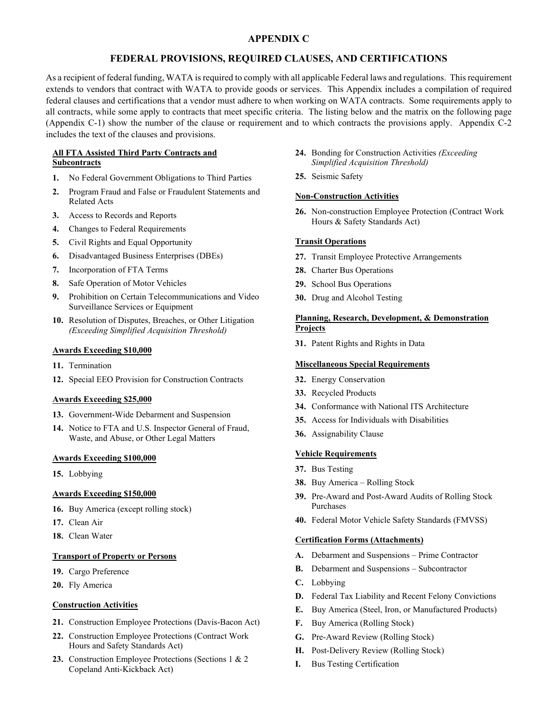# **APPENDIX C**

## **FEDERAL PROVISIONS, REQUIRED CLAUSES, AND CERTIFICATIONS**

As a recipient of federal funding, WATA is required to comply with all applicable Federal laws and regulations. This requirement extends to vendors that contract with WATA to provide goods or services. This Appendix includes a compilation of required federal clauses and certifications that a vendor must adhere to when working on WATA contracts. Some requirements apply to all contracts, while some apply to contracts that meet specific criteria. The listing below and the matrix on the following page (Appendix C-1) show the number of the clause or requirement and to which contracts the provisions apply. Appendix C-2 includes the text of the clauses and provisions.

#### **All FTA Assisted Third Party Contracts and Subcontracts**

- **1.** No Federal Government Obligations to Third Parties
- **2.** Program Fraud and False or Fraudulent Statements and Related Acts
- **3.** Access to Records and Reports
- **4.** Changes to Federal Requirements
- **5.** Civil Rights and Equal Opportunity
- **6.** Disadvantaged Business Enterprises (DBEs)
- **7.** Incorporation of FTA Terms
- **8.** Safe Operation of Motor Vehicles
- **9.** Prohibition on Certain Telecommunications and Video Surveillance Services or Equipment
- **10.** Resolution of Disputes, Breaches, or Other Litigation *(Exceeding Simplified Acquisition Threshold)*

#### **Awards Exceeding \$10,000**

- **11.** Termination
- **12.** Special EEO Provision for Construction Contracts

#### **Awards Exceeding \$25,000**

- **13.** Government-Wide Debarment and Suspension
- **14.** Notice to FTA and U.S. Inspector General of Fraud, Waste, and Abuse, or Other Legal Matters

#### **Awards Exceeding \$100,000**

**15.** Lobbying

## **Awards Exceeding \$150,000**

- **16.** Buy America (except rolling stock)
- **17.** Clean Air
- **18.** Clean Water

#### **Transport of Property or Persons**

- **19.** Cargo Preference
- **20.** Fly America

#### **Construction Activities**

- **21.** Construction Employee Protections (Davis-Bacon Act)
- **22.** Construction Employee Protections (Contract Work Hours and Safety Standards Act)
- **23.** Construction Employee Protections (Sections 1 & 2 Copeland Anti-Kickback Act)
- **24.** Bonding for Construction Activities *(Exceeding Simplified Acquisition Threshold)*
- **25.** Seismic Safety

#### **Non-Construction Activities**

**26.** Non-construction Employee Protection (Contract Work Hours & Safety Standards Act)

#### **Transit Operations**

- **27.** Transit Employee Protective Arrangements
- **28.** Charter Bus Operations
- **29.** School Bus Operations
- **30.** Drug and Alcohol Testing

#### **Planning, Research, Development, & Demonstration Projects**

**31.** Patent Rights and Rights in Data

#### **Miscellaneous Special Requirements**

- **32.** Energy Conservation
- **33.** Recycled Products
- **34.** Conformance with National ITS Architecture
- **35.** Access for Individuals with Disabilities
- **36.** Assignability Clause

#### **Vehicle Requirements**

- **37.** Bus Testing
- **38.** Buy America Rolling Stock
- **39.** Pre-Award and Post-Award Audits of Rolling Stock Purchases
- **40.** Federal Motor Vehicle Safety Standards (FMVSS)

#### **Certification Forms (Attachments)**

- **A.** Debarment and Suspensions Prime Contractor
- **B.** Debarment and Suspensions Subcontractor
- **C.** Lobbying
- **D.** Federal Tax Liability and Recent Felony Convictions
- **E.** Buy America (Steel, Iron, or Manufactured Products)
- **F.** Buy America (Rolling Stock)
- **G.** Pre-Award Review (Rolling Stock)
- **H.** Post-Delivery Review (Rolling Stock)
- **I.** Bus Testing Certification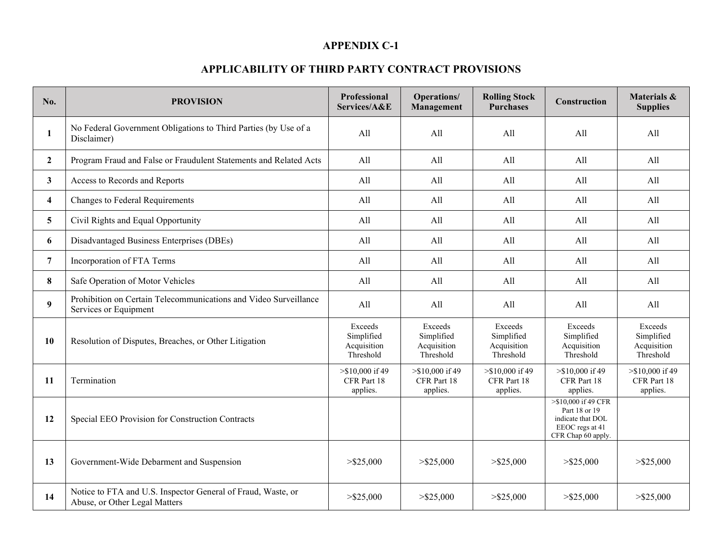# **APPENDIX C-1**

# **APPLICABILITY OF THIRD PARTY CONTRACT PROVISIONS**

| No.              | <b>PROVISION</b>                                                                              | <b>Professional</b><br>Services/A&E               | Operations/<br>Management                         | <b>Rolling Stock</b><br><b>Purchases</b>          | <b>Construction</b>                                                                                | Materials &<br><b>Supplies</b>                    |
|------------------|-----------------------------------------------------------------------------------------------|---------------------------------------------------|---------------------------------------------------|---------------------------------------------------|----------------------------------------------------------------------------------------------------|---------------------------------------------------|
| 1                | No Federal Government Obligations to Third Parties (by Use of a<br>Disclaimer)                | All                                               | All                                               | All                                               | All                                                                                                | All                                               |
| $\mathbf{2}$     | Program Fraud and False or Fraudulent Statements and Related Acts                             | All                                               | A11                                               | All                                               | All                                                                                                | All                                               |
| $\mathbf{3}$     | Access to Records and Reports                                                                 | All                                               | All                                               | All                                               | All                                                                                                | All                                               |
| 4                | Changes to Federal Requirements                                                               | All                                               | All                                               | All                                               | All                                                                                                | All                                               |
| 5                | Civil Rights and Equal Opportunity                                                            | All                                               | All                                               | All                                               | All                                                                                                | All                                               |
| 6                | Disadvantaged Business Enterprises (DBEs)                                                     | All                                               | All                                               | All                                               | All                                                                                                | All                                               |
| $\overline{7}$   | Incorporation of FTA Terms                                                                    | All                                               | All                                               | All                                               | All                                                                                                | All                                               |
| 8                | Safe Operation of Motor Vehicles                                                              | All                                               | All                                               | All                                               | All                                                                                                | All                                               |
| $\boldsymbol{9}$ | Prohibition on Certain Telecommunications and Video Surveillance<br>Services or Equipment     | All                                               | All                                               | All                                               | All                                                                                                | All                                               |
| 10               | Resolution of Disputes, Breaches, or Other Litigation                                         | Exceeds<br>Simplified<br>Acquisition<br>Threshold | Exceeds<br>Simplified<br>Acquisition<br>Threshold | Exceeds<br>Simplified<br>Acquisition<br>Threshold | Exceeds<br>Simplified<br>Acquisition<br>Threshold                                                  | Exceeds<br>Simplified<br>Acquisition<br>Threshold |
| 11               | Termination                                                                                   | $>\$10,000$ if 49<br>CFR Part 18<br>applies.      | $>\$10,000$ if 49<br>CFR Part 18<br>applies.      | $>\$10,000$ if 49<br>CFR Part 18<br>applies.      | $>\$10,000$ if 49<br>CFR Part 18<br>applies.                                                       | $>\$10,000$ if 49<br>CFR Part 18<br>applies.      |
| 12               | Special EEO Provision for Construction Contracts                                              |                                                   |                                                   |                                                   | >\$10,000 if 49 CFR<br>Part 18 or 19<br>indicate that DOL<br>EEOC regs at 41<br>CFR Chap 60 apply. |                                                   |
| 13               | Government-Wide Debarment and Suspension                                                      | $>$ \$25,000                                      | $>$ \$25,000                                      | $>$ \$25,000                                      | $>$ \$25,000                                                                                       | $>$ \$25,000                                      |
| 14               | Notice to FTA and U.S. Inspector General of Fraud, Waste, or<br>Abuse, or Other Legal Matters | $>$ \$25,000                                      | $>$ \$25,000                                      | $>$ \$25,000                                      | $>$ \$25,000                                                                                       | $>$ \$25,000                                      |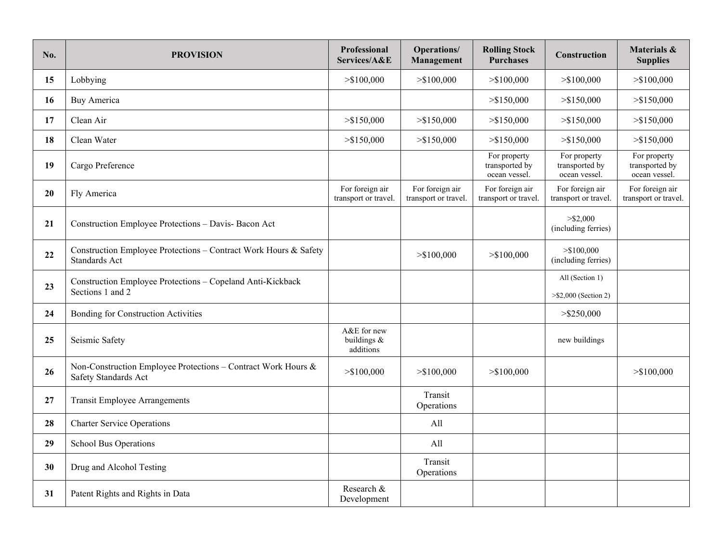| No. | <b>PROVISION</b>                                                                      | <b>Professional</b><br>Services/A&E     | Operations/<br>Management               | <b>Rolling Stock</b><br><b>Purchases</b>        | Construction                                       | Materials &<br><b>Supplies</b>                  |
|-----|---------------------------------------------------------------------------------------|-----------------------------------------|-----------------------------------------|-------------------------------------------------|----------------------------------------------------|-------------------------------------------------|
| 15  | Lobbying                                                                              | > \$100,000                             | > \$100,000                             | > \$100,000                                     | > \$100,000                                        | > \$100,000                                     |
| 16  | <b>Buy America</b>                                                                    |                                         |                                         | > \$150,000                                     | > \$150,000                                        | > \$150,000                                     |
| 17  | Clean Air                                                                             | $>$ \$150,000                           | $>$ \$150,000                           | > \$150,000                                     | $>$ \$150,000                                      | > \$150,000                                     |
| 18  | Clean Water                                                                           | > \$150,000                             | $>$ \$150,000                           | > \$150,000                                     | > \$150,000                                        | > \$150,000                                     |
| 19  | Cargo Preference                                                                      |                                         |                                         | For property<br>transported by<br>ocean vessel. | For property<br>transported by<br>ocean vessel.    | For property<br>transported by<br>ocean vessel. |
| 20  | Fly America                                                                           | For foreign air<br>transport or travel. | For foreign air<br>transport or travel. | For foreign air<br>transport or travel.         | For foreign air<br>transport or travel.            | For foreign air<br>transport or travel.         |
| 21  | Construction Employee Protections - Davis- Bacon Act                                  |                                         |                                         |                                                 | $>$ \$2,000<br>(including ferries)                 |                                                 |
| 22  | Construction Employee Protections - Contract Work Hours & Safety<br>Standards Act     |                                         | $>$ \$100,000                           | > \$100,000                                     | > \$100,000<br>(including ferries)                 |                                                 |
| 23  | Construction Employee Protections - Copeland Anti-Kickback<br>Sections 1 and 2        |                                         |                                         |                                                 | All (Section 1)<br>$>\frac{52,000}{2}$ (Section 2) |                                                 |
| 24  | Bonding for Construction Activities                                                   |                                         |                                         |                                                 | $>$ \$250,000                                      |                                                 |
| 25  | Seismic Safety                                                                        | A&E for new<br>buildings &<br>additions |                                         |                                                 | new buildings                                      |                                                 |
| 26  | Non-Construction Employee Protections - Contract Work Hours &<br>Safety Standards Act | > \$100,000                             | > \$100,000                             | > \$100,000                                     |                                                    | > \$100,000                                     |
| 27  | <b>Transit Employee Arrangements</b>                                                  |                                         | Transit<br>Operations                   |                                                 |                                                    |                                                 |
| 28  | <b>Charter Service Operations</b>                                                     |                                         | All                                     |                                                 |                                                    |                                                 |
| 29  | School Bus Operations                                                                 |                                         | All                                     |                                                 |                                                    |                                                 |
| 30  | Drug and Alcohol Testing                                                              |                                         | Transit<br>Operations                   |                                                 |                                                    |                                                 |
| 31  | Patent Rights and Rights in Data                                                      | Research &<br>Development               |                                         |                                                 |                                                    |                                                 |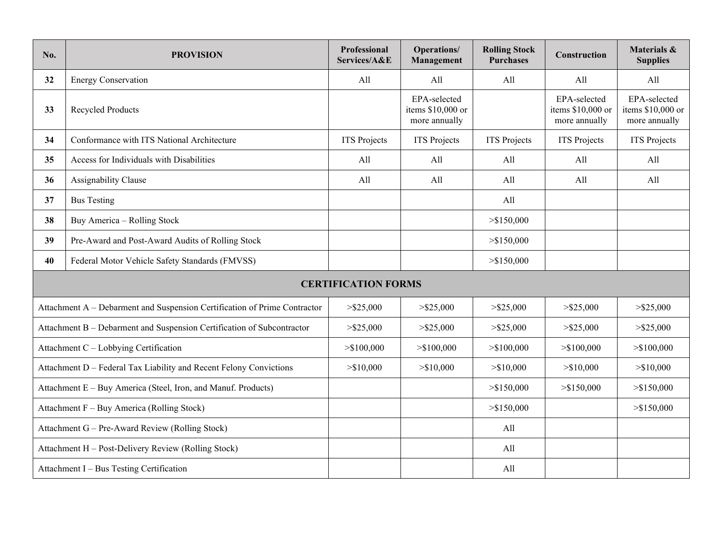| No.                                                                       | <b>PROVISION</b>                                 | Professional<br>Services/A&E | <b>Operations/</b><br>Management                   | <b>Rolling Stock</b><br><b>Purchases</b> | Construction                                       | Materials &<br><b>Supplies</b>                     |  |
|---------------------------------------------------------------------------|--------------------------------------------------|------------------------------|----------------------------------------------------|------------------------------------------|----------------------------------------------------|----------------------------------------------------|--|
| 32                                                                        | <b>Energy Conservation</b>                       | All                          | All                                                | All                                      | All                                                | All                                                |  |
| 33                                                                        | Recycled Products                                |                              | EPA-selected<br>items \$10,000 or<br>more annually |                                          | EPA-selected<br>items \$10,000 or<br>more annually | EPA-selected<br>items \$10,000 or<br>more annually |  |
| 34                                                                        | Conformance with ITS National Architecture       | <b>ITS</b> Projects          | <b>ITS</b> Projects                                | <b>ITS</b> Projects                      | <b>ITS</b> Projects                                | <b>ITS</b> Projects                                |  |
| 35                                                                        | Access for Individuals with Disabilities         | All                          | All                                                | All                                      | All                                                | All                                                |  |
| 36                                                                        | Assignability Clause                             | All                          | All                                                | All                                      | All                                                | All                                                |  |
| 37                                                                        | <b>Bus Testing</b>                               |                              |                                                    | All                                      |                                                    |                                                    |  |
| 38                                                                        | Buy America - Rolling Stock                      |                              |                                                    | > \$150,000                              |                                                    |                                                    |  |
| 39                                                                        | Pre-Award and Post-Award Audits of Rolling Stock |                              |                                                    | $>$ \$150,000                            |                                                    |                                                    |  |
| 40                                                                        | Federal Motor Vehicle Safety Standards (FMVSS)   |                              |                                                    | > \$150,000                              |                                                    |                                                    |  |
| <b>CERTIFICATION FORMS</b>                                                |                                                  |                              |                                                    |                                          |                                                    |                                                    |  |
| Attachment A - Debarment and Suspension Certification of Prime Contractor |                                                  | $>$ \$25,000                 | $>$ \$25,000                                       | $>$ \$25,000                             | $>$ \$25,000                                       | $>$ \$25,000                                       |  |
| Attachment B - Debarment and Suspension Certification of Subcontractor    |                                                  | $>$ \$25,000                 | $>$ \$25,000                                       | $>$ \$25,000                             | $>$ \$25,000                                       | $>$ \$25,000                                       |  |
| Attachment C - Lobbying Certification                                     |                                                  | > \$100,000                  | > \$100,000                                        | > \$100,000                              | > \$100,000                                        | > \$100,000                                        |  |
| Attachment D - Federal Tax Liability and Recent Felony Convictions        |                                                  | > \$10,000                   | > \$10,000                                         | > \$10,000                               | > \$10,000                                         | > \$10,000                                         |  |
| Attachment E - Buy America (Steel, Iron, and Manuf. Products)             |                                                  |                              |                                                    | > \$150,000                              | > \$150,000                                        | > \$150,000                                        |  |
| Attachment F - Buy America (Rolling Stock)                                |                                                  |                              |                                                    | > \$150,000                              |                                                    | > \$150,000                                        |  |
| Attachment G - Pre-Award Review (Rolling Stock)                           |                                                  |                              |                                                    | All                                      |                                                    |                                                    |  |
| Attachment H - Post-Delivery Review (Rolling Stock)                       |                                                  |                              |                                                    | All                                      |                                                    |                                                    |  |
| Attachment I - Bus Testing Certification                                  |                                                  |                              |                                                    | All                                      |                                                    |                                                    |  |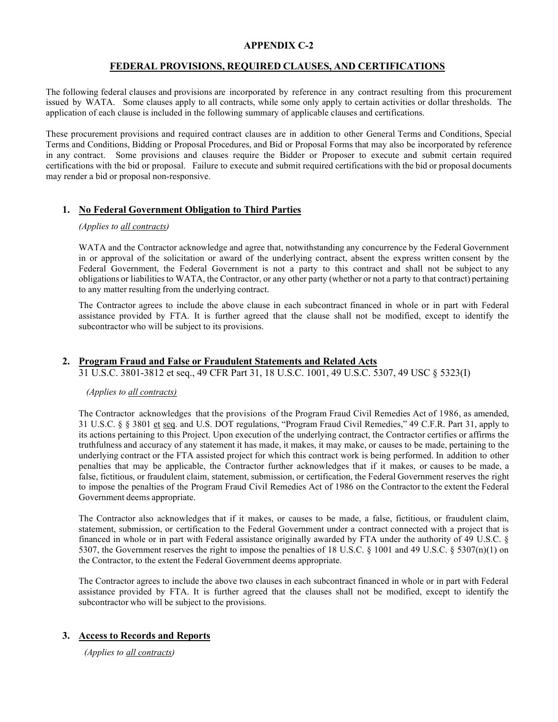# **APPENDIX C-2**

# **FEDERAL PROVISIONS, REQUIRED CLAUSES, AND CERTIFICATIONS**

The following federal clauses and provisions are incorporated by reference in any contract resulting from this procurement issued by WATA. Some clauses apply to all contracts, while some only apply to certain activities or dollar thresholds. The application of each clause is included in the following summary of applicable clauses and certifications.

These procurement provisions and required contract clauses are in addition to other General Terms and Conditions, Special Terms and Conditions, Bidding or Proposal Procedures, and Bid or Proposal Forms that may also be incorporated by reference in any contract. Some provisions and clauses require the Bidder or Proposer to execute and submit certain required certifications with the bid or proposal. Failure to execute and submit required certifications with the bid or proposal documents may render a bid or proposal non-responsive.

# **1. No Federal Government Obligation to Third Parties**

### *(Applies to all contracts)*

WATA and the Contractor acknowledge and agree that, notwithstanding any concurrence by the Federal Government in or approval of the solicitation or award of the underlying contract, absent the express written consent by the Federal Government, the Federal Government is not a party to this contract and shall not be subject to any obligations or liabilitiesto WATA, the Contractor, or any other party (whether or not a party to that contract) pertaining to any matter resulting from the underlying contract.

The Contractor agrees to include the above clause in each subcontract financed in whole or in part with Federal assistance provided by FTA. It is further agreed that the clause shall not be modified, except to identify the subcontractor who will be subject to its provisions.

# **2. Program Fraud and False or Fraudulent Statements and Related Acts**

31 U.S.C. 3801-3812 et seq., 49 CFR Part 31, 18 U.S.C. 1001, 49 U.S.C. 5307, 49 USC § 5323(I)

## *(Applies to all contracts)*

The Contractor acknowledges that the provisions of the Program Fraud Civil Remedies Act of 1986, as amended, 31 U.S.C. § § 3801 et seq. and U.S. DOT regulations, "Program Fraud Civil Remedies," 49 C.F.R. Part 31, apply to its actions pertaining to this Project. Upon execution of the underlying contract, the Contractor certifies or affirms the truthfulness and accuracy of any statement it has made, it makes, it may make, or causes to be made, pertaining to the underlying contract or the FTA assisted project for which this contract work is being performed. In addition to other penalties that may be applicable, the Contractor further acknowledges that if it makes, or causes to be made, a false, fictitious, or fraudulent claim, statement, submission, or certification, the Federal Government reserves the right to impose the penalties of the Program Fraud Civil Remedies Act of 1986 on the Contractor to the extent the Federal Government deems appropriate.

The Contractor also acknowledges that if it makes, or causes to be made, a false, fictitious, or fraudulent claim, statement, submission, or certification to the Federal Government under a contract connected with a project that is financed in whole or in part with Federal assistance originally awarded by FTA under the authority of 49 U.S.C. § 5307, the Government reserves the right to impose the penalties of 18 U.S.C. § 1001 and 49 U.S.C. § 5307(n)(1) on the Contractor, to the extent the Federal Government deems appropriate.

The Contractor agrees to include the above two clauses in each subcontract financed in whole or in part with Federal assistance provided by FTA. It is further agreed that the clauses shall not be modified, except to identify the subcontractor who will be subject to the provisions.

# **3. Access to Records and Reports**

*(Applies to all contracts)*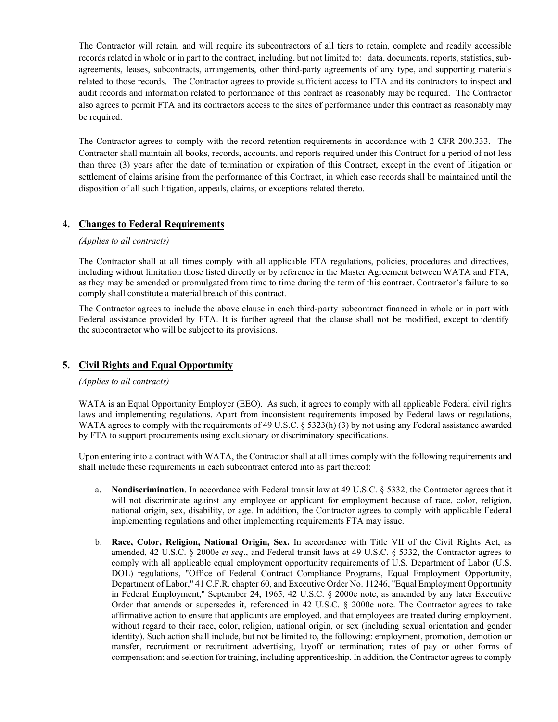The Contractor will retain, and will require its subcontractors of all tiers to retain, complete and readily accessible records related in whole or in part to the contract, including, but not limited to: data, documents, reports, statistics, subagreements, leases, subcontracts, arrangements, other third-party agreements of any type, and supporting materials related to those records. The Contractor agrees to provide sufficient access to FTA and its contractors to inspect and audit records and information related to performance of this contract as reasonably may be required. The Contractor also agrees to permit FTA and its contractors access to the sites of performance under this contract as reasonably may be required.

The Contractor agrees to comply with the record retention requirements in accordance with 2 CFR 200.333. The Contractor shall maintain all books, records, accounts, and reports required under this Contract for a period of not less than three (3) years after the date of termination or expiration of this Contract, except in the event of litigation or settlement of claims arising from the performance of this Contract, in which case records shall be maintained until the disposition of all such litigation, appeals, claims, or exceptions related thereto.

# **4. Changes to Federal Requirements**

## *(Applies to all contracts)*

The Contractor shall at all times comply with all applicable FTA regulations, policies, procedures and directives, including without limitation those listed directly or by reference in the Master Agreement between WATA and FTA, as they may be amended or promulgated from time to time during the term of this contract. Contractor's failure to so comply shall constitute a material breach of this contract.

The Contractor agrees to include the above clause in each third-party subcontract financed in whole or in part with Federal assistance provided by FTA. It is further agreed that the clause shall not be modified, except to identify the subcontractor who will be subject to its provisions.

# **5. Civil Rights and Equal Opportunity**

# *(Applies to all contracts)*

WATA is an Equal Opportunity Employer (EEO). As such, it agrees to comply with all applicable Federal civil rights laws and implementing regulations. Apart from inconsistent requirements imposed by Federal laws or regulations, WATA agrees to comply with the requirements of 49 U.S.C. § 5323(h) (3) by not using any Federal assistance awarded by FTA to support procurements using exclusionary or discriminatory specifications.

Upon entering into a contract with WATA, the Contractor shall at all times comply with the following requirements and shall include these requirements in each subcontract entered into as part thereof:

- a. **Nondiscrimination**. In accordance with Federal transit law at 49 U.S.C. § 5332, the Contractor agrees that it will not discriminate against any employee or applicant for employment because of race, color, religion, national origin, sex, disability, or age. In addition, the Contractor agrees to comply with applicable Federal implementing regulations and other implementing requirements FTA may issue.
- b. **Race, Color, Religion, National Origin, Sex.** In accordance with Title VII of the Civil Rights Act, as amended, 42 U.S.C. § 2000e *et seq*., and Federal transit laws at 49 U.S.C. § 5332, the Contractor agrees to comply with all applicable equal employment opportunity requirements of U.S. Department of Labor (U.S. DOL) regulations, "Office of Federal Contract Compliance Programs, Equal Employment Opportunity, Department of Labor," 41 C.F.R. chapter 60, and Executive Order No. 11246, "Equal Employment Opportunity in Federal Employment," September 24, 1965, 42 U.S.C. § 2000e note, as amended by any later Executive Order that amends or supersedes it, referenced in 42 U.S.C. § 2000e note. The Contractor agrees to take affirmative action to ensure that applicants are employed, and that employees are treated during employment, without regard to their race, color, religion, national origin, or sex (including sexual orientation and gender identity). Such action shall include, but not be limited to, the following: employment, promotion, demotion or transfer, recruitment or recruitment advertising, layoff or termination; rates of pay or other forms of compensation; and selection for training, including apprenticeship. In addition, the Contractor agrees to comply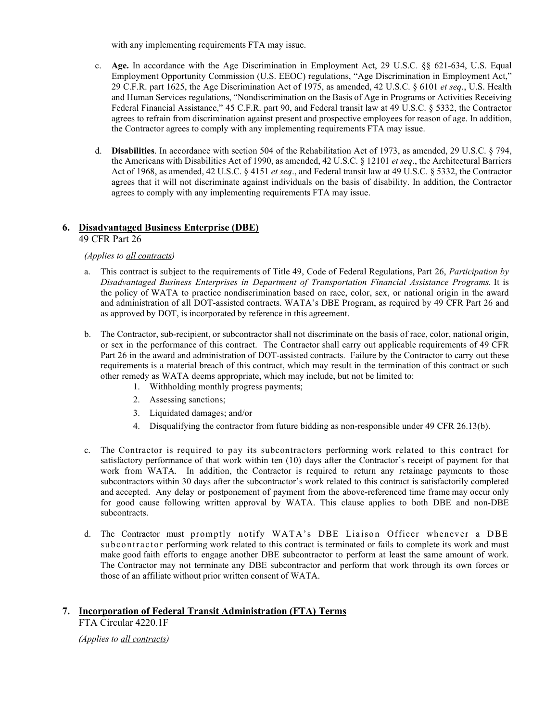with any implementing requirements FTA may issue.

- c. **Age.** In accordance with the Age Discrimination in Employment Act, 29 U.S.C. §§ 621-634, U.S. Equal Employment Opportunity Commission (U.S. EEOC) regulations, "Age Discrimination in Employment Act," 29 C.F.R. part 1625, the Age Discrimination Act of 1975, as amended, 42 U.S.C. § 6101 *et seq*., U.S. Health and Human Services regulations, "Nondiscrimination on the Basis of Age in Programs or Activities Receiving Federal Financial Assistance," 45 C.F.R. part 90, and Federal transit law at 49 U.S.C. § 5332, the Contractor agrees to refrain from discrimination against present and prospective employees for reason of age. In addition, the Contractor agrees to comply with any implementing requirements FTA may issue.
- d. **Disabilities**. In accordance with section 504 of the Rehabilitation Act of 1973, as amended, 29 U.S.C. § 794, the Americans with Disabilities Act of 1990, as amended, 42 U.S.C. § 12101 *et seq*., the Architectural Barriers Act of 1968, as amended, 42 U.S.C. § 4151 *et seq*., and Federal transit law at 49 U.S.C. § 5332, the Contractor agrees that it will not discriminate against individuals on the basis of disability. In addition, the Contractor agrees to comply with any implementing requirements FTA may issue.

# **6. Disadvantaged Business Enterprise (DBE)**

# 49 CFR Part 26

# *(Applies to all contracts)*

- a. This contract is subject to the requirements of Title 49, Code of Federal Regulations, Part 26, *Participation by Disadvantaged Business Enterprises in Department of Transportation Financial Assistance Programs.* It is the policy of WATA to practice nondiscrimination based on race, color, sex, or national origin in the award and administration of all DOT-assisted contracts. WATA's DBE Program, as required by 49 CFR Part 26 and as approved by DOT, is incorporated by reference in this agreement.
- b. The Contractor, sub-recipient, or subcontractor shall not discriminate on the basis of race, color, national origin, or sex in the performance of this contract. The Contractor shall carry out applicable requirements of 49 CFR Part 26 in the award and administration of DOT-assisted contracts. Failure by the Contractor to carry out these requirements is a material breach of this contract, which may result in the termination of this contract or such other remedy as WATA deems appropriate, which may include, but not be limited to:
	- 1. Withholding monthly progress payments;
	- 2. Assessing sanctions;
	- 3. Liquidated damages; and/or
	- 4. Disqualifying the contractor from future bidding as non-responsible under 49 CFR 26.13(b).
- c. The Contractor is required to pay its subcontractors performing work related to this contract for satisfactory performance of that work within ten (10) days after the Contractor's receipt of payment for that work from WATA. In addition, the Contractor is required to return any retainage payments to those subcontractors within 30 days after the subcontractor's work related to this contract is satisfactorily completed and accepted. Any delay or postponement of payment from the above-referenced time frame may occur only for good cause following written approval by WATA. This clause applies to both DBE and non-DBE subcontracts.
- d. The Contractor must promptly notify WATA's DBE Liaison Officer whenever a DBE subcontractor performing work related to this contract is terminated or fails to complete its work and must make good faith efforts to engage another DBE subcontractor to perform at least the same amount of work. The Contractor may not terminate any DBE subcontractor and perform that work through its own forces or those of an affiliate without prior written consent of WATA.

# **7. Incorporation of Federal Transit Administration (FTA) Terms**

FTA Circular 4220.1F

*(Applies to all contracts)*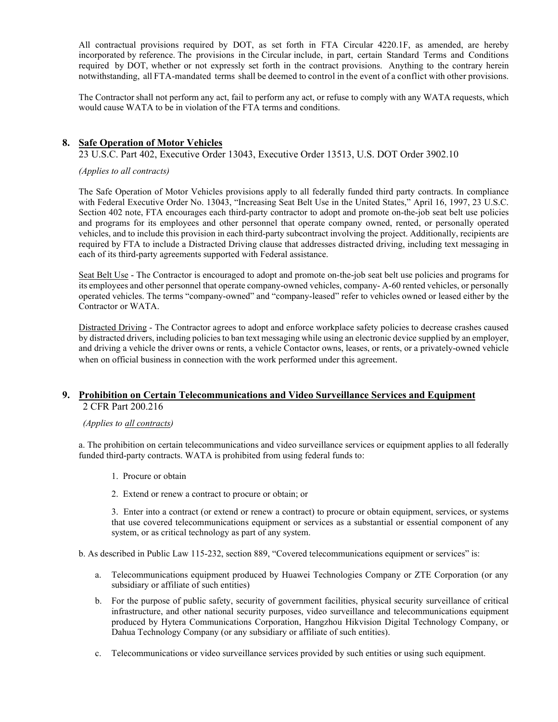All contractual provisions required by DOT, as set forth in FTA Circular 4220.1F, as amended, are hereby incorporated by reference. The provisions in the Circular include, in part, certain Standard Terms and Conditions required by DOT, whether or not expressly set forth in the contract provisions. Anything to the contrary herein notwithstanding, all FTA-mandated terms shall be deemed to control in the event of a conflict with other provisions.

The Contractor shall not perform any act, fail to perform any act, or refuse to comply with any WATA requests, which would cause WATA to be in violation of the FTA terms and conditions.

# **8. Safe Operation of Motor Vehicles**

23 U.S.C. Part 402, Executive Order 13043, Executive Order 13513, U.S. DOT Order 3902.10

*(Applies to all contracts)*

The Safe Operation of Motor Vehicles provisions apply to all federally funded third party contracts. In compliance with Federal Executive Order No. 13043, "Increasing Seat Belt Use in the United States," April 16, 1997, 23 U.S.C. Section 402 note, FTA encourages each third-party contractor to adopt and promote on-the-job seat belt use policies and programs for its employees and other personnel that operate company owned, rented, or personally operated vehicles, and to include this provision in each third-party subcontract involving the project. Additionally, recipients are required by FTA to include a Distracted Driving clause that addresses distracted driving, including text messaging in each of its third-party agreements supported with Federal assistance.

Seat Belt Use - The Contractor is encouraged to adopt and promote on-the-job seat belt use policies and programs for its employees and other personnel that operate company-owned vehicles, company- A-60 rented vehicles, or personally operated vehicles. The terms "company-owned" and "company-leased" refer to vehicles owned or leased either by the Contractor or WATA.

Distracted Driving - The Contractor agrees to adopt and enforce workplace safety policies to decrease crashes caused by distracted drivers, including policies to ban text messaging while using an electronic device supplied by an employer, and driving a vehicle the driver owns or rents, a vehicle Contactor owns, leases, or rents, or a privately-owned vehicle when on official business in connection with the work performed under this agreement.

## **9. Prohibition on Certain Telecommunications and Video Surveillance Services and Equipment** 2 CFR Part 200.216

#### *(Applies to all contracts)*

a. The prohibition on certain telecommunications and video surveillance services or equipment applies to all federally funded third-party contracts. WATA is prohibited from using federal funds to:

- 1. Procure or obtain
- 2. Extend or renew a contract to procure or obtain; or

3. Enter into a contract (or extend or renew a contract) to procure or obtain equipment, services, or systems that use covered telecommunications equipment or services as a substantial or essential component of any system, or as critical technology as part of any system.

b. As described in Public Law 115-232, section 889, "Covered telecommunications equipment or services" is:

- a. Telecommunications equipment produced by Huawei Technologies Company or ZTE Corporation (or any subsidiary or affiliate of such entities)
- b. For the purpose of public safety, security of government facilities, physical security surveillance of critical infrastructure, and other national security purposes, video surveillance and telecommunications equipment produced by Hytera Communications Corporation, Hangzhou Hikvision Digital Technology Company, or Dahua Technology Company (or any subsidiary or affiliate of such entities).
- c. Telecommunications or video surveillance services provided by such entities or using such equipment.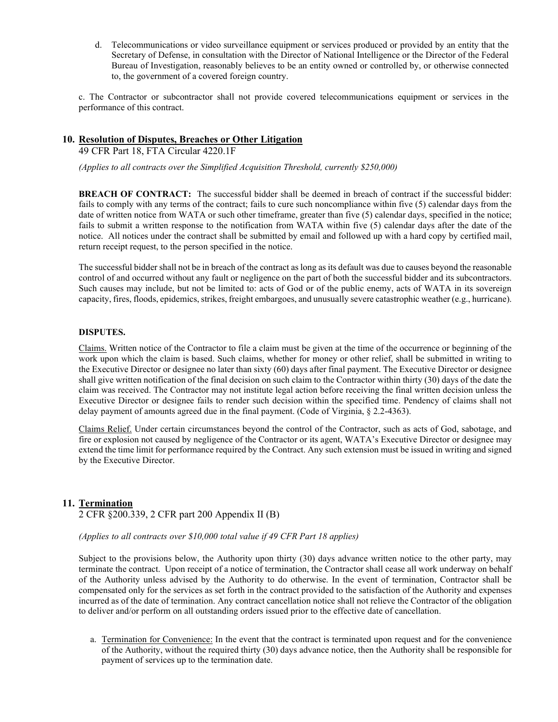d. Telecommunications or video surveillance equipment or services produced or provided by an entity that the Secretary of Defense, in consultation with the Director of National Intelligence or the Director of the Federal Bureau of Investigation, reasonably believes to be an entity owned or controlled by, or otherwise connected to, the government of a covered foreign country.

c. The Contractor or subcontractor shall not provide covered telecommunications equipment or services in the performance of this contract.

# **10. Resolution of Disputes, Breaches or Other Litigation**

49 CFR Part 18, FTA Circular 4220.1F

*(Applies to all contracts over the Simplified Acquisition Threshold, currently \$250,000)*

**BREACH OF CONTRACT:** The successful bidder shall be deemed in breach of contract if the successful bidder: fails to comply with any terms of the contract; fails to cure such noncompliance within five (5) calendar days from the date of written notice from WATA or such other timeframe, greater than five (5) calendar days, specified in the notice; fails to submit a written response to the notification from WATA within five (5) calendar days after the date of the notice. All notices under the contract shall be submitted by email and followed up with a hard copy by certified mail, return receipt request, to the person specified in the notice.

The successful bidder shall not be in breach of the contract as long as its default was due to causes beyond the reasonable control of and occurred without any fault or negligence on the part of both the successful bidder and its subcontractors. Such causes may include, but not be limited to: acts of God or of the public enemy, acts of WATA in its sovereign capacity, fires, floods, epidemics, strikes, freight embargoes, and unusually severe catastrophic weather (e.g., hurricane).

#### **DISPUTES.**

Claims. Written notice of the Contractor to file a claim must be given at the time of the occurrence or beginning of the work upon which the claim is based. Such claims, whether for money or other relief, shall be submitted in writing to the Executive Director or designee no later than sixty (60) days after final payment. The Executive Director or designee shall give written notification of the final decision on such claim to the Contractor within thirty (30) days of the date the claim was received. The Contractor may not institute legal action before receiving the final written decision unless the Executive Director or designee fails to render such decision within the specified time. Pendency of claims shall not delay payment of amounts agreed due in the final payment. (Code of Virginia, § 2.2-4363).

Claims Relief. Under certain circumstances beyond the control of the Contractor, such as acts of God, sabotage, and fire or explosion not caused by negligence of the Contractor or its agent, WATA's Executive Director or designee may extend the time limit for performance required by the Contract. Any such extension must be issued in writing and signed by the Executive Director.

## **11. Termination**

2 CFR §200.339, 2 CFR part 200 Appendix II (B)

*(Applies to all contracts over \$10,000 total value if 49 CFR Part 18 applies)*

Subject to the provisions below, the Authority upon thirty (30) days advance written notice to the other party, may terminate the contract. Upon receipt of a notice of termination, the Contractor shall cease all work underway on behalf of the Authority unless advised by the Authority to do otherwise. In the event of termination, Contractor shall be compensated only for the services as set forth in the contract provided to the satisfaction of the Authority and expenses incurred as of the date of termination. Any contract cancellation notice shall not relieve the Contractor of the obligation to deliver and/or perform on all outstanding orders issued prior to the effective date of cancellation.

a. Termination for Convenience: In the event that the contract is terminated upon request and for the convenience of the Authority, without the required thirty (30) days advance notice, then the Authority shall be responsible for payment of services up to the termination date.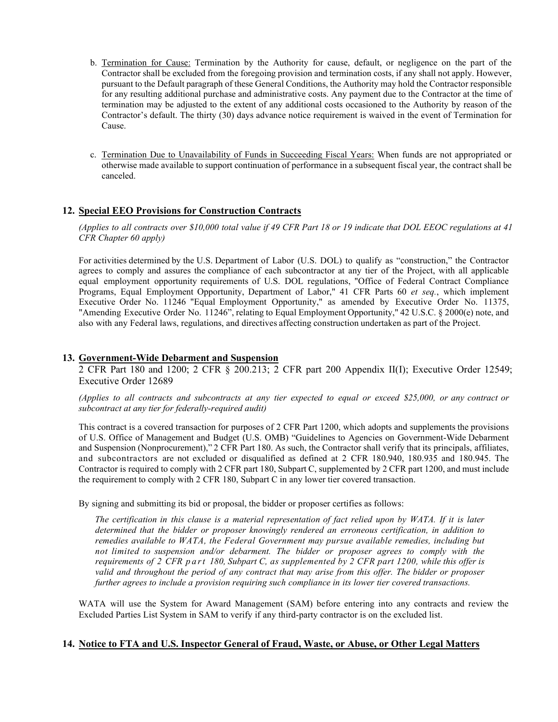- b. Termination for Cause: Termination by the Authority for cause, default, or negligence on the part of the Contractor shall be excluded from the foregoing provision and termination costs, if any shall not apply. However, pursuant to the Default paragraph of these General Conditions, the Authority may hold the Contractor responsible for any resulting additional purchase and administrative costs. Any payment due to the Contractor at the time of termination may be adjusted to the extent of any additional costs occasioned to the Authority by reason of the Contractor's default. The thirty (30) days advance notice requirement is waived in the event of Termination for Cause.
- c. Termination Due to Unavailability of Funds in Succeeding Fiscal Years: When funds are not appropriated or otherwise made available to support continuation of performance in a subsequent fiscal year, the contract shall be canceled.

# **12. Special EEO Provisions for Construction Contracts**

*(Applies to all contracts over \$10,000 total value if 49 CFR Part 18 or 19 indicate that DOL EEOC regulations at 41 CFR Chapter 60 apply)*

For activities determined by the U.S. Department of Labor (U.S. DOL) to qualify as "construction," the Contractor agrees to comply and assures the compliance of each subcontractor at any tier of the Project, with all applicable equal employment opportunity requirements of U.S. DOL regulations, "Office of Federal Contract Compliance Programs, Equal Employment Opportunity, Department of Labor," 41 CFR Parts 60 *et seq.*, which implement Executive Order No. 11246 "Equal Employment Opportunity," as amended by Executive Order No. 11375, "Amending Executive Order No. 11246", relating to Equal Employment Opportunity," 42 U.S.C. § 2000(e) note, and also with any Federal laws, regulations, and directives affecting construction undertaken as part of the Project.

## **13. Government-Wide Debarment and Suspension**

2 CFR Part 180 and 1200; 2 CFR § 200.213; 2 CFR part 200 Appendix II(I); Executive Order 12549; Executive Order 12689

(Applies to all contracts and subcontracts at any tier expected to equal or exceed \$25,000, or any contract or *subcontract at any tier for federally-required audit)*

This contract is a covered transaction for purposes of 2 CFR Part 1200, which adopts and supplements the provisions of U.S. Office of Management and Budget (U.S. OMB) "Guidelines to Agencies on Government-Wide Debarment and Suspension (Nonprocurement)," 2 CFR Part 180. As such, the Contractor shall verify that its principals, affiliates, and subcontractors are not excluded or disqualified as defined at 2 CFR 180.940, 180.935 and 180.945. The Contractor is required to comply with 2 CFR part 180, Subpart C, supplemented by 2 CFR part 1200, and must include the requirement to comply with 2 CFR 180, Subpart C in any lower tier covered transaction.

By signing and submitting its bid or proposal, the bidder or proposer certifies as follows:

The certification in this clause is a material representation of fact relied upon by WATA. If it is later *determined that the bidder or proposer knowingly rendered an erroneous certification, in addition to remedies available to WATA, the Federal Government may pursue available remedies, including but not limited to suspension and/or debarment. The bidder or proposer agrees to comply with the requirements of 2 CFR part 180, Subpart C, as supplemented by 2 CFR part 1200, while this offer is valid and throughout the period of any contract that may arise from this offer. The bidder or proposer further agrees to include a provision requiring such compliance in its lower tier covered transactions.*

WATA will use the System for Award Management (SAM) before entering into any contracts and review the Excluded Parties List System in SAM to verify if any third-party contractor is on the excluded list.

## **14. Notice to FTA and U.S. Inspector General of Fraud, Waste, or Abuse, or Other Legal Matters**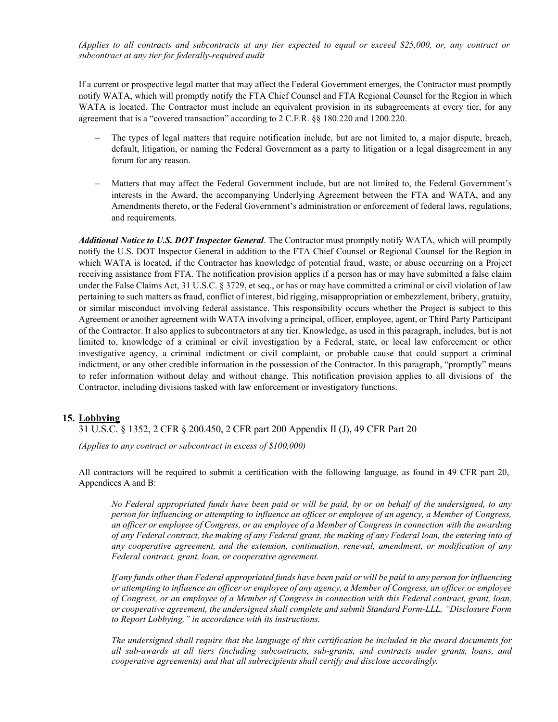*(Applies to all contracts and subcontracts at any tier expected to equal or exceed \$25,000, or, any contract or subcontract at any tier for federally-required audit*

If a current or prospective legal matter that may affect the Federal Government emerges, the Contractor must promptly notify WATA, which will promptly notify the FTA Chief Counsel and FTA Regional Counsel for the Region in which WATA is located. The Contractor must include an equivalent provision in its subagreements at every tier, for any agreement that is a "covered transaction" according to 2 C.F.R. §§ 180.220 and 1200.220.

- The types of legal matters that require notification include, but are not limited to, a major dispute, breach, default, litigation, or naming the Federal Government as a party to litigation or a legal disagreement in any forum for any reason.
- Matters that may affect the Federal Government include, but are not limited to, the Federal Government's interests in the Award, the accompanying Underlying Agreement between the FTA and WATA, and any Amendments thereto, or the Federal Government's administration or enforcement of federal laws, regulations, and requirements.

*Additional Notice to U.S. DOT Inspector General*. The Contractor must promptly notify WATA, which will promptly notify the U.S. DOT Inspector General in addition to the FTA Chief Counsel or Regional Counsel for the Region in which WATA is located, if the Contractor has knowledge of potential fraud, waste, or abuse occurring on a Project receiving assistance from FTA. The notification provision applies if a person has or may have submitted a false claim under the False Claims Act, 31 U.S.C. § 3729, et seq., or has or may have committed a criminal or civil violation of law pertaining to such matters as fraud, conflict of interest, bid rigging, misappropriation or embezzlement, bribery, gratuity, or similar misconduct involving federal assistance. This responsibility occurs whether the Project is subject to this Agreement or another agreement with WATA involving a principal, officer, employee, agent, or Third Party Participant of the Contractor. It also applies to subcontractors at any tier. Knowledge, as used in this paragraph, includes, but is not limited to, knowledge of a criminal or civil investigation by a Federal, state, or local law enforcement or other investigative agency, a criminal indictment or civil complaint, or probable cause that could support a criminal indictment, or any other credible information in the possession of the Contractor. In this paragraph, "promptly" means to refer information without delay and without change. This notification provision applies to all divisions of the Contractor, including divisions tasked with law enforcement or investigatory functions.

## **15. Lobbying**

31 U.S.C. § 1352, 2 CFR § 200.450, 2 CFR part 200 Appendix II (J), 49 CFR Part 20

*(Applies to any contract or subcontract in excess of \$100,000)*

All contractors will be required to submit a certification with the following language, as found in 49 CFR part 20, Appendices A and B:

*No Federal appropriated funds have been paid or will be paid, by or on behalf of the undersigned, to any person for influencing or attempting to influence an officer or employee of an agency, a Member of Congress, an officer or employee of Congress, or an employee of a Member of Congress in connection with the awarding of any Federal contract, the making of any Federal grant, the making of any Federal loan, the entering into of any cooperative agreement, and the extension, continuation, renewal, amendment, or modification of any Federal contract, grant, loan, or cooperative agreement.* 

*If any funds other than Federal appropriated funds have been paid or will be paid to any person for influencing or attempting to influence an officer or employee of any agency, a Member of Congress, an officer or employee of Congress, or an employee of a Member of Congress in connection with this Federal contract, grant, loan, or cooperative agreement, the undersigned shall complete and submit Standard Form-LLL, "Disclosure Form to Report Lobbying," in accordance with its instructions.* 

*The undersigned shall require that the language of this certification be included in the award documents for all sub-awards at all tiers (including subcontracts, sub-grants, and contracts under grants, loans, and cooperative agreements) and that all subrecipients shall certify and disclose accordingly.*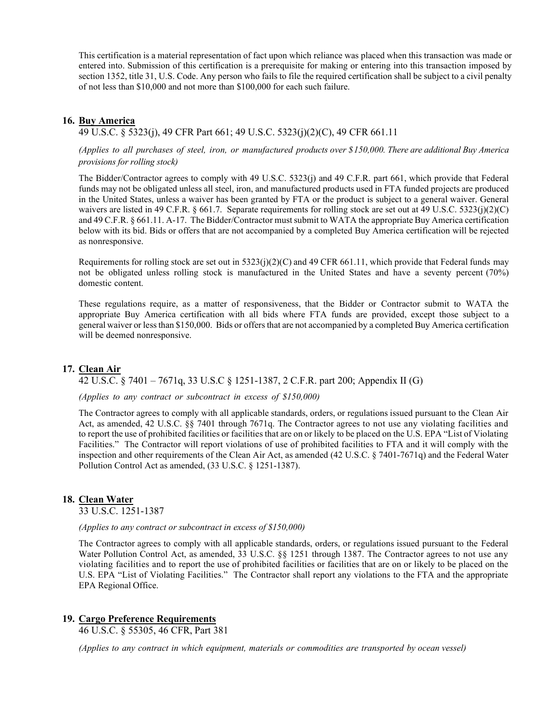This certification is a material representation of fact upon which reliance was placed when this transaction was made or entered into. Submission of this certification is a prerequisite for making or entering into this transaction imposed by section 1352, title 31, U.S. Code. Any person who fails to file the required certification shall be subject to a civil penalty of not less than \$10,000 and not more than \$100,000 for each such failure.

# **16. Buy America**

## 49 U.S.C. § 5323(j), 49 CFR Part 661; 49 U.S.C. 5323(j)(2)(C), 49 CFR 661.11

*(Applies to all purchases of steel, iron, or manufactured products over \$150,000. There are additional Buy America provisions for rolling stock)*

The Bidder/Contractor agrees to comply with 49 U.S.C. 5323(j) and 49 C.F.R. part 661, which provide that Federal funds may not be obligated unless all steel, iron, and manufactured products used in FTA funded projects are produced in the United States, unless a waiver has been granted by FTA or the product is subject to a general waiver. General waivers are listed in 49 C.F.R.  $\S 661.7$ . Separate requirements for rolling stock are set out at 49 U.S.C. 5323(j)(2)(C) and 49 C.F.R. § 661.11. A-17. The Bidder/Contractor must submit to WATA the appropriate Buy America certification below with its bid. Bids or offers that are not accompanied by a completed Buy America certification will be rejected as nonresponsive.

Requirements for rolling stock are set out in  $5323(j)(2)(C)$  and 49 CFR 661.11, which provide that Federal funds may not be obligated unless rolling stock is manufactured in the United States and have a seventy percent (70%) domestic content.

These regulations require, as a matter of responsiveness, that the Bidder or Contractor submit to WATA the appropriate Buy America certification with all bids where FTA funds are provided, except those subject to a general waiver or lessthan \$150,000. Bids or offers that are not accompanied by a completed Buy America certification will be deemed nonresponsive.

## **17. Clean Air**

42 U.S.C. § 7401 – 7671q, 33 U.S.C § 1251-1387, 2 C.F.R. part 200; Appendix II (G)

*(Applies to any contract or subcontract in excess of \$150,000)*

The Contractor agrees to comply with all applicable standards, orders, or regulations issued pursuant to the Clean Air Act, as amended, 42 U.S.C. §§ 7401 through 7671q. The Contractor agrees to not use any violating facilities and to report the use of prohibited facilities or facilities that are on or likely to be placed on the U.S. EPA "List of Violating Facilities." The Contractor will report violations of use of prohibited facilities to FTA and it will comply with the inspection and other requirements of the Clean Air Act, as amended (42 U.S.C. § 7401-7671q) and the Federal Water Pollution Control Act as amended, (33 U.S.C. § 1251-1387).

## **18. Clean Water**

33 U.S.C. 1251-1387

#### *(Applies to any contract or subcontract in excess of \$150,000)*

The Contractor agrees to comply with all applicable standards, orders, or regulations issued pursuant to the Federal Water Pollution Control Act, as amended, 33 U.S.C. §§ 1251 through 1387. The Contractor agrees to not use any violating facilities and to report the use of prohibited facilities or facilities that are on or likely to be placed on the U.S. EPA "List of Violating Facilities." The Contractor shall report any violations to the FTA and the appropriate EPA Regional Office.

## **19. Cargo Preference Requirements**

46 U.S.C. § 55305, 46 CFR, Part 381

*(Applies to any contract in which equipment, materials or commodities are transported by ocean vessel)*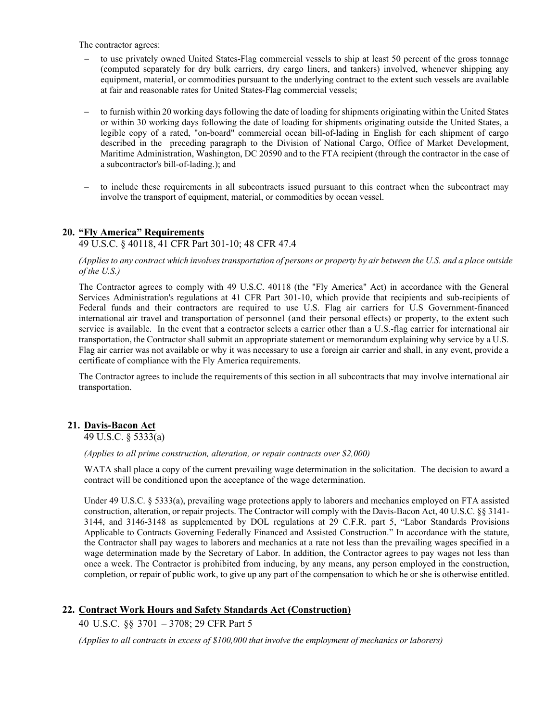The contractor agrees:

- to use privately owned United States-Flag commercial vessels to ship at least 50 percent of the gross tonnage (computed separately for dry bulk carriers, dry cargo liners, and tankers) involved, whenever shipping any equipment, material, or commodities pursuant to the underlying contract to the extent such vessels are available at fair and reasonable rates for United States-Flag commercial vessels;
- − to furnish within 20 working days following the date of loading for shipments originating within the United States or within 30 working days following the date of loading for shipments originating outside the United States, a legible copy of a rated, "on-board" commercial ocean bill-of-lading in English for each shipment of cargo described in the preceding paragraph to the Division of National Cargo, Office of Market Development, Maritime Administration, Washington, DC 20590 and to the FTA recipient (through the contractor in the case of a subcontractor's bill-of-lading.); and
- − to include these requirements in all subcontracts issued pursuant to this contract when the subcontract may involve the transport of equipment, material, or commodities by ocean vessel.

# **20. "Fly America" Requirements**

49 U.S.C. § 40118, 41 CFR Part 301-10; 48 CFR 47.4

*(Applies to any contract which involves transportation of persons or property by air between the U.S. and a place outside of the U.S.)*

The Contractor agrees to comply with 49 U.S.C. 40118 (the "Fly America" Act) in accordance with the General Services Administration's regulations at 41 CFR Part 301-10, which provide that recipients and sub-recipients of Federal funds and their contractors are required to use U.S. Flag air carriers for U.S Government-financed international air travel and transportation of personnel (and their personal effects) or property, to the extent such service is available. In the event that a contractor selects a carrier other than a U.S.-flag carrier for international air transportation, the Contractor shall submit an appropriate statement or memorandum explaining why service by a U.S. Flag air carrier was not available or why it was necessary to use a foreign air carrier and shall, in any event, provide a certificate of compliance with the Fly America requirements.

The Contractor agrees to include the requirements of this section in all subcontracts that may involve international air transportation.

# **21. Davis-Bacon Act**

49 U.S.C. § 5333(a)

*(Applies to all prime construction, alteration, or repair contracts over \$2,000)*

WATA shall place a copy of the current prevailing wage determination in the solicitation. The decision to award a contract will be conditioned upon the acceptance of the wage determination.

Under 49 U.S.C. § 5333(a), prevailing wage protections apply to laborers and mechanics employed on FTA assisted construction, alteration, or repair projects. The Contractor will comply with the Davis-Bacon Act, 40 U.S.C. §§ 3141- 3144, and 3146-3148 as supplemented by DOL regulations at 29 C.F.R. part 5, "Labor Standards Provisions Applicable to Contracts Governing Federally Financed and Assisted Construction." In accordance with the statute, the Contractor shall pay wages to laborers and mechanics at a rate not less than the prevailing wages specified in a wage determination made by the Secretary of Labor. In addition, the Contractor agrees to pay wages not less than once a week. The Contractor is prohibited from inducing, by any means, any person employed in the construction, completion, or repair of public work, to give up any part of the compensation to which he or she is otherwise entitled.

#### **22. Contract Work Hours and Safety Standards Act (Construction)**

40 U.S.C. §§ 3701 – 3708; 29 CFR Part 5

*(Applies to all contracts in excess of \$100,000 that involve the employment of mechanics or laborers)*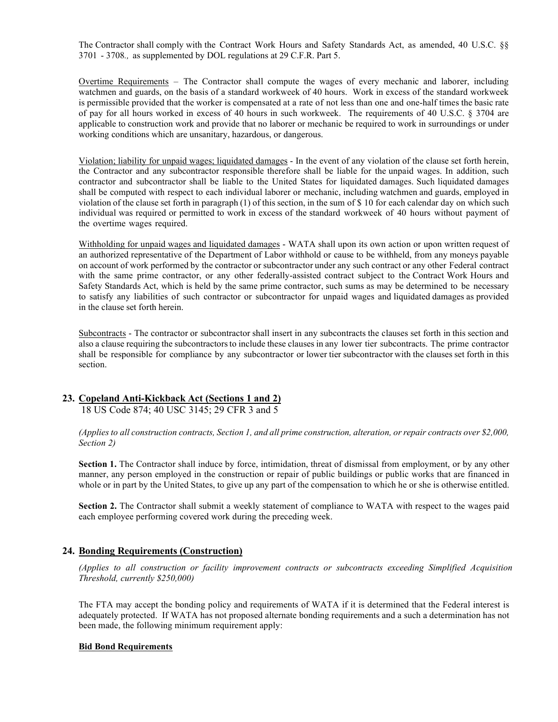The Contractor shall comply with the Contract Work Hours and Safety Standards Act, as amended, 40 U.S.C. §§ 3701 - 3708*.,* as supplemented by DOL regulations at 29 C.F.R. Part 5.

Overtime Requirements – The Contractor shall compute the wages of every mechanic and laborer, including watchmen and guards, on the basis of a standard workweek of 40 hours. Work in excess of the standard workweek is permissible provided that the worker is compensated at a rate of not less than one and one-half times the basic rate of pay for all hours worked in excess of 40 hours in such workweek. The requirements of 40 U.S.C. § 3704 are applicable to construction work and provide that no laborer or mechanic be required to work in surroundings or under working conditions which are unsanitary, hazardous, or dangerous.

Violation; liability for unpaid wages; liquidated damages - In the event of any violation of the clause set forth herein, the Contractor and any subcontractor responsible therefore shall be liable for the unpaid wages. In addition, such contractor and subcontractor shall be liable to the United States for liquidated damages. Such liquidated damages shall be computed with respect to each individual laborer or mechanic, including watchmen and guards, employed in violation of the clause set forth in paragraph (1) of this section, in the sum of \$ 10 for each calendar day on which such individual was required or permitted to work in excess of the standard workweek of 40 hours without payment of the overtime wages required.

Withholding for unpaid wages and liquidated damages - WATA shall upon its own action or upon written request of an authorized representative of the Department of Labor withhold or cause to be withheld, from any moneys payable on account of work performed by the contractor or subcontractor under any such contract or any other Federal contract with the same prime contractor, or any other federally-assisted contract subject to the Contract Work Hours and Safety Standards Act, which is held by the same prime contractor, such sums as may be determined to be necessary to satisfy any liabilities of such contractor or subcontractor for unpaid wages and liquidated damages as provided in the clause set forth herein.

Subcontracts - The contractor or subcontractor shall insert in any subcontracts the clauses set forth in this section and also a clause requiring the subcontractorsto include these clauses in any lower tier subcontracts. The prime contractor shall be responsible for compliance by any subcontractor or lower tier subcontractor with the clauses set forth in this section.

#### **23. Copeland Anti-Kickback Act (Sections 1 and 2)** 18 US Code 874; 40 USC 3145; 29 CFR 3 and 5

*(Applies to all construction contracts, Section 1, and all prime construction, alteration, or repair contracts over \$2,000, Section 2)*

**Section 1.** The Contractor shall induce by force, intimidation, threat of dismissal from employment, or by any other manner, any person employed in the construction or repair of public buildings or public works that are financed in whole or in part by the United States, to give up any part of the compensation to which he or she is otherwise entitled.

**Section 2.** The Contractor shall submit a weekly statement of compliance to WATA with respect to the wages paid each employee performing covered work during the preceding week.

## **24. Bonding Requirements (Construction)**

*(Applies to all construction or facility improvement contracts or subcontracts exceeding Simplified Acquisition Threshold, currently \$250,000)*

The FTA may accept the bonding policy and requirements of WATA if it is determined that the Federal interest is adequately protected. If WATA has not proposed alternate bonding requirements and a such a determination has not been made, the following minimum requirement apply:

#### **Bid Bond Requirements**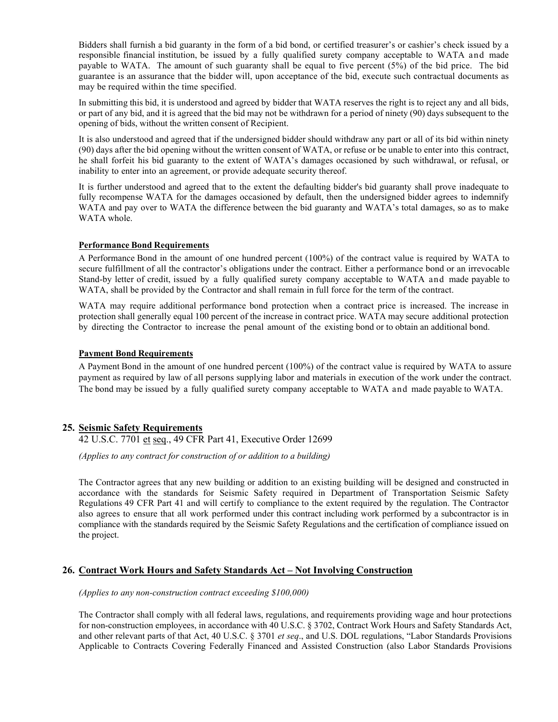Bidders shall furnish a bid guaranty in the form of a bid bond, or certified treasurer's or cashier's check issued by a responsible financial institution, be issued by a fully qualified surety company acceptable to WATA and made payable to WATA. The amount of such guaranty shall be equal to five percent (5%) of the bid price. The bid guarantee is an assurance that the bidder will, upon acceptance of the bid, execute such contractual documents as may be required within the time specified.

In submitting this bid, it is understood and agreed by bidder that WATA reserves the right is to reject any and all bids, or part of any bid, and it is agreed that the bid may not be withdrawn for a period of ninety (90) days subsequent to the opening of bids, without the written consent of Recipient.

It is also understood and agreed that if the undersigned bidder should withdraw any part or all of its bid within ninety (90) days after the bid opening without the written consent of WATA, or refuse or be unable to enter into this contract, he shall forfeit his bid guaranty to the extent of WATA's damages occasioned by such withdrawal, or refusal, or inability to enter into an agreement, or provide adequate security thereof.

It is further understood and agreed that to the extent the defaulting bidder's bid guaranty shall prove inadequate to fully recompense WATA for the damages occasioned by default, then the undersigned bidder agrees to indemnify WATA and pay over to WATA the difference between the bid guaranty and WATA's total damages, so as to make WATA whole.

#### **Performance Bond Requirements**

A Performance Bond in the amount of one hundred percent (100%) of the contract value is required by WATA to secure fulfillment of all the contractor's obligations under the contract. Either a performance bond or an irrevocable Stand-by letter of credit, issued by a fully qualified surety company acceptable to WATA and made payable to WATA, shall be provided by the Contractor and shall remain in full force for the term of the contract.

WATA may require additional performance bond protection when a contract price is increased. The increase in protection shall generally equal 100 percent of the increase in contract price. WATA may secure additional protection by directing the Contractor to increase the penal amount of the existing bond or to obtain an additional bond.

#### **Payment Bond Requirements**

A Payment Bond in the amount of one hundred percent (100%) of the contract value is required by WATA to assure payment as required by law of all persons supplying labor and materials in execution of the work under the contract. The bond may be issued by a fully qualified surety company acceptable to WATA and made payable to WATA.

## **25. Seismic Safety Requirements**

42 U.S.C. 7701 et seq., 49 CFR Part 41, Executive Order 12699

*(Applies to any contract for construction of or addition to a building)*

The Contractor agrees that any new building or addition to an existing building will be designed and constructed in accordance with the standards for Seismic Safety required in Department of Transportation Seismic Safety Regulations 49 CFR Part 41 and will certify to compliance to the extent required by the regulation. The Contractor also agrees to ensure that all work performed under this contract including work performed by a subcontractor is in compliance with the standards required by the Seismic Safety Regulations and the certification of compliance issued on the project.

## **26. Contract Work Hours and Safety Standards Act – Not Involving Construction**

*(Applies to any non-construction contract exceeding \$100,000)*

The Contractor shall comply with all federal laws, regulations, and requirements providing wage and hour protections for non-construction employees, in accordance with 40 U.S.C. § 3702, Contract Work Hours and Safety Standards Act, and other relevant parts of that Act, 40 U.S.C. § 3701 *et seq*., and U.S. DOL regulations, "Labor Standards Provisions Applicable to Contracts Covering Federally Financed and Assisted Construction (also Labor Standards Provisions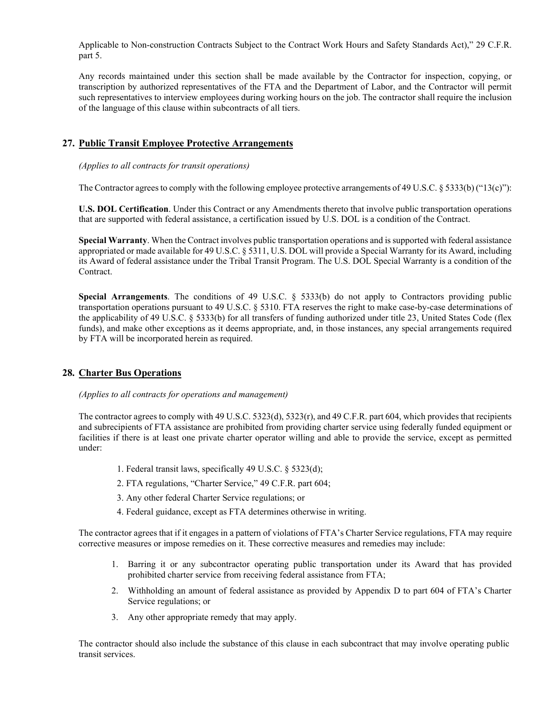Applicable to Non-construction Contracts Subject to the Contract Work Hours and Safety Standards Act)," 29 C.F.R. part 5.

Any records maintained under this section shall be made available by the Contractor for inspection, copying, or transcription by authorized representatives of the FTA and the Department of Labor, and the Contractor will permit such representatives to interview employees during working hours on the job. The contractor shall require the inclusion of the language of this clause within subcontracts of all tiers.

# **27. Public Transit Employee Protective Arrangements**

#### *(Applies to all contracts for transit operations)*

The Contractor agrees to comply with the following employee protective arrangements of 49 U.S.C. § 5333(b) ("13(c)"):

**U.S. DOL Certification**. Under this Contract or any Amendments thereto that involve public transportation operations that are supported with federal assistance, a certification issued by U.S. DOL is a condition of the Contract.

**Special Warranty**. When the Contract involves public transportation operations and is supported with federal assistance appropriated or made available for 49 U.S.C. § 5311, U.S. DOL will provide a Special Warranty for its Award, including its Award of federal assistance under the Tribal Transit Program. The U.S. DOL Special Warranty is a condition of the Contract.

**Special Arrangements**. The conditions of 49 U.S.C. § 5333(b) do not apply to Contractors providing public transportation operations pursuant to 49 U.S.C. § 5310. FTA reserves the right to make case-by-case determinations of the applicability of 49 U.S.C. § 5333(b) for all transfers of funding authorized under title 23, United States Code (flex funds), and make other exceptions as it deems appropriate, and, in those instances, any special arrangements required by FTA will be incorporated herein as required.

# **28. Charter Bus Operations**

*(Applies to all contracts for operations and management)*

The contractor agrees to comply with 49 U.S.C. 5323(d), 5323(r), and 49 C.F.R. part 604, which provides that recipients and subrecipients of FTA assistance are prohibited from providing charter service using federally funded equipment or facilities if there is at least one private charter operator willing and able to provide the service, except as permitted under:

- 1. Federal transit laws, specifically 49 U.S.C. § 5323(d);
- 2. FTA regulations, "Charter Service," 49 C.F.R. part 604;
- 3. Any other federal Charter Service regulations; or
- 4. Federal guidance, except as FTA determines otherwise in writing.

The contractor agrees that if it engages in a pattern of violations of FTA's Charter Service regulations, FTA may require corrective measures or impose remedies on it. These corrective measures and remedies may include:

- 1. Barring it or any subcontractor operating public transportation under its Award that has provided prohibited charter service from receiving federal assistance from FTA;
- 2. Withholding an amount of federal assistance as provided by Appendix D to part 604 of FTA's Charter Service regulations; or
- 3. Any other appropriate remedy that may apply.

The contractor should also include the substance of this clause in each subcontract that may involve operating public transit services.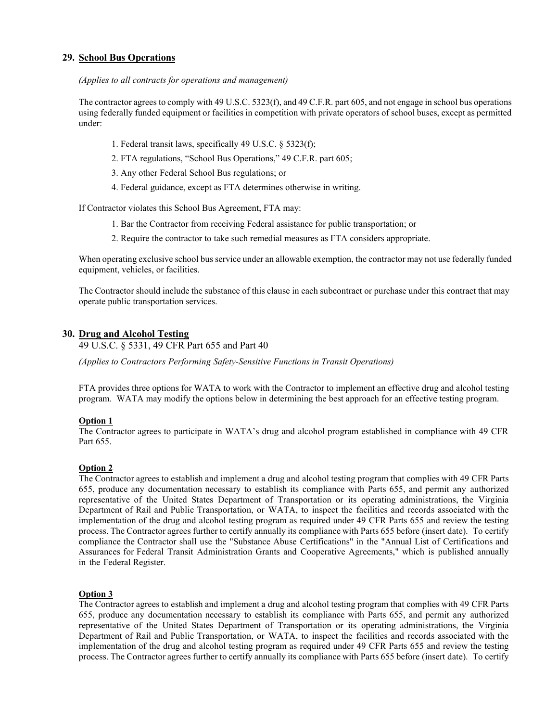# **29. School Bus Operations**

## *(Applies to all contracts for operations and management)*

The contractor agrees to comply with 49 U.S.C. 5323(f), and 49 C.F.R. part 605, and not engage in school bus operations using federally funded equipment or facilities in competition with private operators of school buses, except as permitted under:

- 1. Federal transit laws, specifically 49 U.S.C. § 5323(f);
- 2. FTA regulations, "School Bus Operations," 49 C.F.R. part 605;
- 3. Any other Federal School Bus regulations; or
- 4. Federal guidance, except as FTA determines otherwise in writing.

If Contractor violates this School Bus Agreement, FTA may:

- 1. Bar the Contractor from receiving Federal assistance for public transportation; or
- 2. Require the contractor to take such remedial measures as FTA considers appropriate.

When operating exclusive school bus service under an allowable exemption, the contractor may not use federally funded equipment, vehicles, or facilities.

The Contractor should include the substance of this clause in each subcontract or purchase under this contract that may operate public transportation services.

# **30. Drug and Alcohol Testing**

49 U.S.C. § 5331, 49 CFR Part 655 and Part 40

*(Applies to Contractors Performing Safety-Sensitive Functions in Transit Operations)*

FTA provides three options for WATA to work with the Contractor to implement an effective drug and alcohol testing program. WATA may modify the options below in determining the best approach for an effective testing program.

## **Option 1**

The Contractor agrees to participate in WATA's drug and alcohol program established in compliance with 49 CFR Part 655.

## **Option 2**

The Contractor agrees to establish and implement a drug and alcohol testing program that complies with 49 CFR Parts 655, produce any documentation necessary to establish its compliance with Parts 655, and permit any authorized representative of the United States Department of Transportation or its operating administrations, the Virginia Department of Rail and Public Transportation, or WATA, to inspect the facilities and records associated with the implementation of the drug and alcohol testing program as required under 49 CFR Parts 655 and review the testing process. The Contractor agrees further to certify annually its compliance with Parts 655 before (insert date). To certify compliance the Contractor shall use the "Substance Abuse Certifications" in the "Annual List of Certifications and Assurances for Federal Transit Administration Grants and Cooperative Agreements," which is published annually in the Federal Register.

## **Option 3**

The Contractor agrees to establish and implement a drug and alcohol testing program that complies with 49 CFR Parts 655, produce any documentation necessary to establish its compliance with Parts 655, and permit any authorized representative of the United States Department of Transportation or its operating administrations, the Virginia Department of Rail and Public Transportation, or WATA, to inspect the facilities and records associated with the implementation of the drug and alcohol testing program as required under 49 CFR Parts 655 and review the testing process. The Contractor agrees further to certify annually its compliance with Parts 655 before (insert date). To certify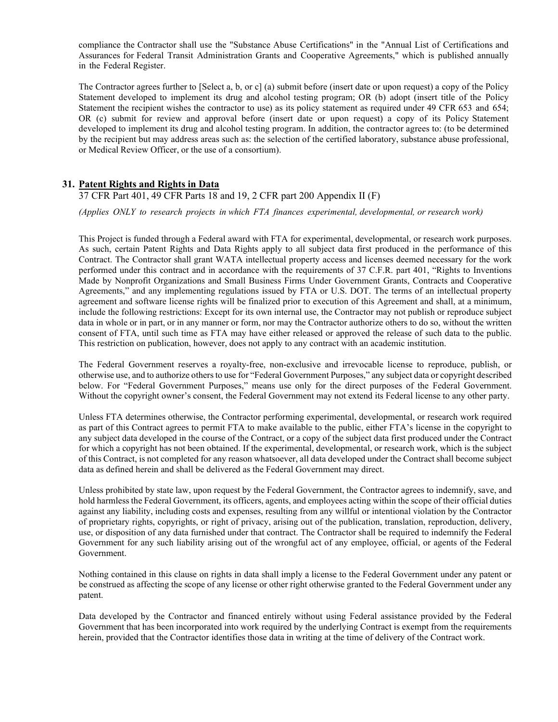compliance the Contractor shall use the "Substance Abuse Certifications" in the "Annual List of Certifications and Assurances for Federal Transit Administration Grants and Cooperative Agreements," which is published annually in the Federal Register.

The Contractor agrees further to [Select a, b, or c] (a) submit before (insert date or upon request) a copy of the Policy Statement developed to implement its drug and alcohol testing program; OR (b) adopt (insert title of the Policy Statement the recipient wishes the contractor to use) as its policy statement as required under 49 CFR 653 and 654; OR (c) submit for review and approval before (insert date or upon request) a copy of its Policy Statement developed to implement its drug and alcohol testing program. In addition, the contractor agrees to: (to be determined by the recipient but may address areas such as: the selection of the certified laboratory, substance abuse professional, or Medical Review Officer, or the use of a consortium).

# **31. Patent Rights and Rights in Data**

37 CFR Part 401, 49 CFR Parts 18 and 19, 2 CFR part 200 Appendix II (F)

*(Applies ONLY to research projects in which FTA finances experimental, developmental, or research work)*

This Project is funded through a Federal award with FTA for experimental, developmental, or research work purposes. As such, certain Patent Rights and Data Rights apply to all subject data first produced in the performance of this Contract. The Contractor shall grant WATA intellectual property access and licenses deemed necessary for the work performed under this contract and in accordance with the requirements of 37 C.F.R. part 401, "Rights to Inventions Made by Nonprofit Organizations and Small Business Firms Under Government Grants, Contracts and Cooperative Agreements," and any implementing regulations issued by FTA or U.S. DOT. The terms of an intellectual property agreement and software license rights will be finalized prior to execution of this Agreement and shall, at a minimum, include the following restrictions: Except for its own internal use, the Contractor may not publish or reproduce subject data in whole or in part, or in any manner or form, nor may the Contractor authorize others to do so, without the written consent of FTA, until such time as FTA may have either released or approved the release of such data to the public. This restriction on publication, however, does not apply to any contract with an academic institution.

The Federal Government reserves a royalty-free, non-exclusive and irrevocable license to reproduce, publish, or otherwise use, and to authorize others to use for "Federal Government Purposes," any subject data or copyright described below. For "Federal Government Purposes," means use only for the direct purposes of the Federal Government. Without the copyright owner's consent, the Federal Government may not extend its Federal license to any other party.

Unless FTA determines otherwise, the Contractor performing experimental, developmental, or research work required as part of this Contract agrees to permit FTA to make available to the public, either FTA's license in the copyright to any subject data developed in the course of the Contract, or a copy of the subject data first produced under the Contract for which a copyright has not been obtained. If the experimental, developmental, or research work, which is the subject of this Contract, is not completed for any reason whatsoever, all data developed under the Contract shall become subject data as defined herein and shall be delivered as the Federal Government may direct.

Unless prohibited by state law, upon request by the Federal Government, the Contractor agrees to indemnify, save, and hold harmless the Federal Government, its officers, agents, and employees acting within the scope of their official duties against any liability, including costs and expenses, resulting from any willful or intentional violation by the Contractor of proprietary rights, copyrights, or right of privacy, arising out of the publication, translation, reproduction, delivery, use, or disposition of any data furnished under that contract. The Contractor shall be required to indemnify the Federal Government for any such liability arising out of the wrongful act of any employee, official, or agents of the Federal Government.

Nothing contained in this clause on rights in data shall imply a license to the Federal Government under any patent or be construed as affecting the scope of any license or other right otherwise granted to the Federal Government under any patent.

Data developed by the Contractor and financed entirely without using Federal assistance provided by the Federal Government that has been incorporated into work required by the underlying Contract is exempt from the requirements herein, provided that the Contractor identifies those data in writing at the time of delivery of the Contract work.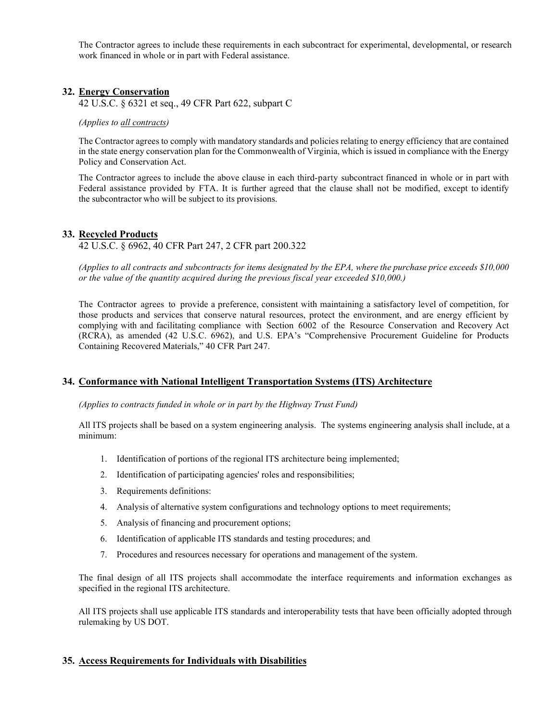The Contractor agrees to include these requirements in each subcontract for experimental, developmental, or research work financed in whole or in part with Federal assistance.

## **32. Energy Conservation**

42 U.S.C. § 6321 et seq., 49 CFR Part 622, subpart C

#### *(Applies to all contracts)*

The Contractor agrees to comply with mandatory standards and policies relating to energy efficiency that are contained in the state energy conservation plan for the Commonwealth of Virginia, which is issued in compliance with the Energy Policy and Conservation Act.

The Contractor agrees to include the above clause in each third-party subcontract financed in whole or in part with Federal assistance provided by FTA. It is further agreed that the clause shall not be modified, except to identify the subcontractor who will be subject to its provisions.

#### **33. Recycled Products**

42 U.S.C. § 6962, 40 CFR Part 247, 2 CFR part 200.322

*(Applies to all contracts and subcontracts for items designated by the EPA, where the purchase price exceeds \$10,000 or the value of the quantity acquired during the previous fiscal year exceeded \$10,000.)*

The Contractor agrees to provide a preference, consistent with maintaining a satisfactory level of competition, for those products and services that conserve natural resources, protect the environment, and are energy efficient by complying with and facilitating compliance with Section 6002 of the Resource Conservation and Recovery Act (RCRA), as amended (42 U.S.C. 6962), and U.S. EPA's "Comprehensive Procurement Guideline for Products Containing Recovered Materials," 40 CFR Part 247.

#### **34. Conformance with National Intelligent Transportation Systems (ITS) Architecture**

#### *(Applies to contracts funded in whole or in part by the Highway Trust Fund)*

All ITS projects shall be based on a system engineering analysis. The systems engineering analysis shall include, at a minimum:

- 1. Identification of portions of the regional ITS architecture being implemented;
- 2. Identification of participating agencies' roles and responsibilities;
- 3. Requirements definitions:
- 4. Analysis of alternative system configurations and technology options to meet requirements;
- 5. Analysis of financing and procurement options;
- 6. Identification of applicable ITS standards and testing procedures; and
- 7. Procedures and resources necessary for operations and management of the system.

The final design of all ITS projects shall accommodate the interface requirements and information exchanges as specified in the regional ITS architecture.

All ITS projects shall use applicable ITS standards and interoperability tests that have been officially adopted through rulemaking by US DOT.

#### **35. Access Requirements for Individuals with Disabilities**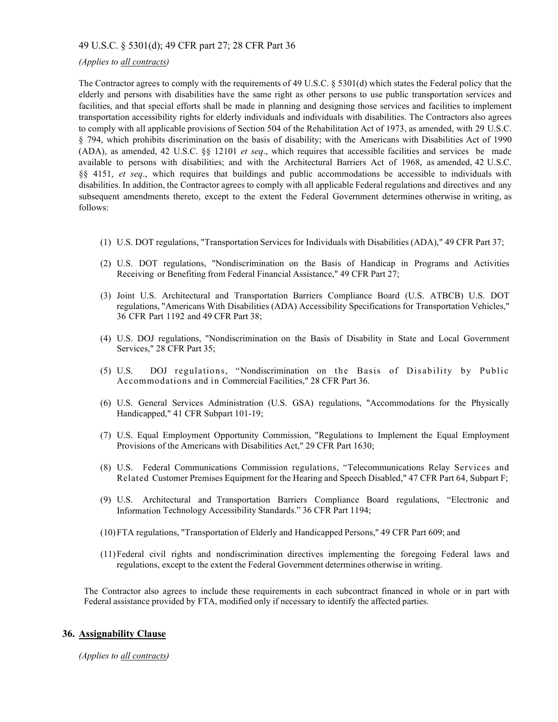## 49 U.S.C. § 5301(d); 49 CFR part 27; 28 CFR Part 36

#### *(Applies to all contracts)*

The Contractor agrees to comply with the requirements of 49 U.S.C. § 5301(d) which states the Federal policy that the elderly and persons with disabilities have the same right as other persons to use public transportation services and facilities, and that special efforts shall be made in planning and designing those services and facilities to implement transportation accessibility rights for elderly individuals and individuals with disabilities. The Contractors also agrees to comply with all applicable provisions of Section 504 of the Rehabilitation Act of 1973, as amended, with 29 U.S.C. § 794, which prohibits discrimination on the basis of disability; with the Americans with Disabilities Act of 1990 (ADA), as amended, 42 U.S.C. §§ 12101 *et seq*., which requires that accessible facilities and services be made available to persons with disabilities; and with the Architectural Barriers Act of 1968, as amended, 42 U.S.C. §§ 4151, *et seq*., which requires that buildings and public accommodations be accessible to individuals with disabilities. In addition, the Contractor agrees to comply with all applicable Federal regulations and directives and any subsequent amendments thereto, except to the extent the Federal Government determines otherwise in writing, as follows:

- (1) U.S. DOT regulations, "Transportation Services for Individuals with Disabilities (ADA)," 49 CFR Part 37;
- (2) U.S. DOT regulations, "Nondiscrimination on the Basis of Handicap in Programs and Activities Receiving or Benefiting from Federal Financial Assistance," 49 CFR Part 27;
- (3) Joint U.S. Architectural and Transportation Barriers Compliance Board (U.S. ATBCB) U.S. DOT regulations, "Americans With Disabilities (ADA) Accessibility Specifications for Transportation Vehicles," 36 CFR Part 1192 and 49 CFR Part 38;
- (4) U.S. DOJ regulations, "Nondiscrimination on the Basis of Disability in State and Local Government Services," 28 CFR Part 35;
- (5) U.S. DOJ regulations, "Nondiscrimination on the Basis of Disability by Public Accommodations and in Commercial Facilities," 28 CFR Part 36.
- (6) U.S. General Services Administration (U.S. GSA) regulations, "Accommodations for the Physically Handicapped," 41 CFR Subpart 101-19;
- (7) U.S. Equal Employment Opportunity Commission, "Regulations to Implement the Equal Employment Provisions of the Americans with Disabilities Act," 29 CFR Part 1630;
- (8) U.S. Federal Communications Commission regulations, "Telecommunications Relay Services and Related Customer Premises Equipment for the Hearing and Speech Disabled," 47 CFR Part 64, Subpart F;
- (9) U.S. Architectural and Transportation Barriers Compliance Board regulations, "Electronic and Information Technology Accessibility Standards." 36 CFR Part 1194;
- (10)FTA regulations, "Transportation of Elderly and Handicapped Persons," 49 CFR Part 609; and
- (11)Federal civil rights and nondiscrimination directives implementing the foregoing Federal laws and regulations, except to the extent the Federal Government determines otherwise in writing.

The Contractor also agrees to include these requirements in each subcontract financed in whole or in part with Federal assistance provided by FTA, modified only if necessary to identify the affected parties.

## **36. Assignability Clause**

*(Applies to all contracts)*